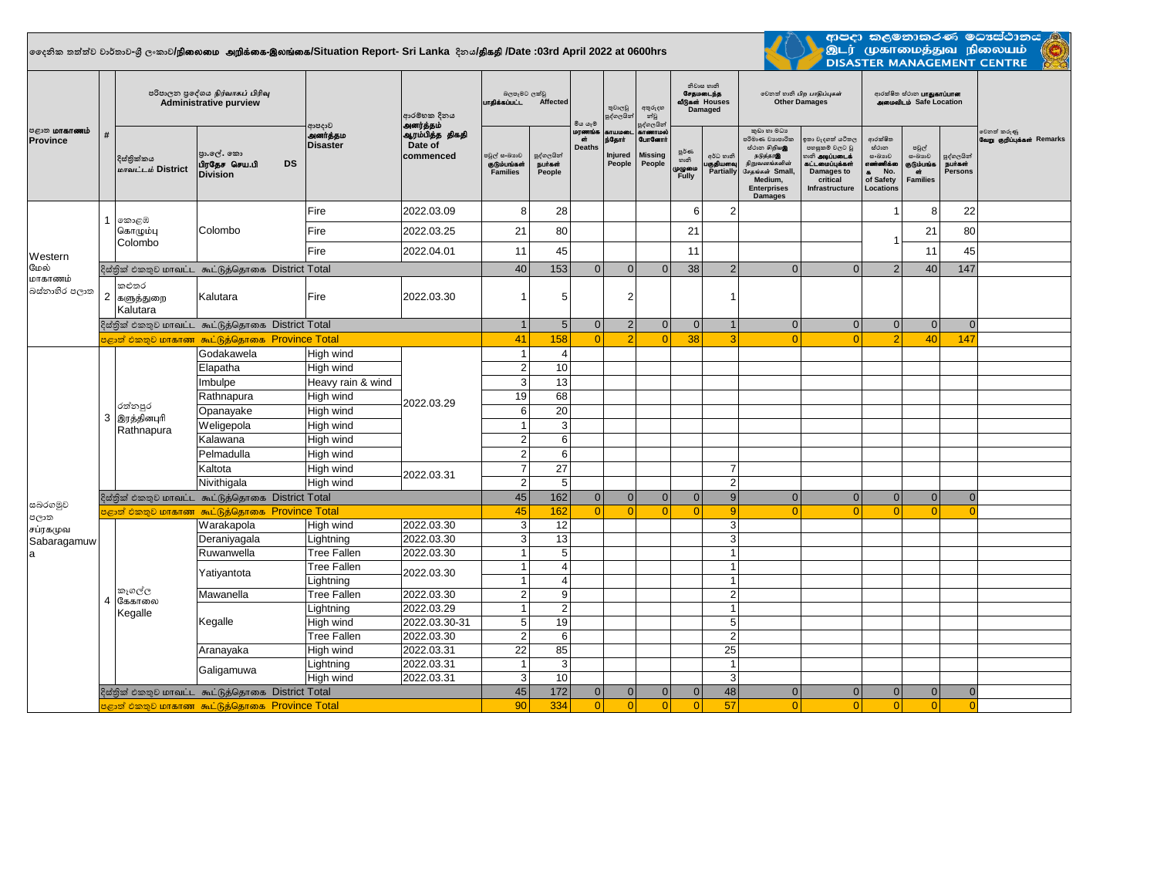## **දදනික තත්ත්ව වාර්තාව-ශ්රී ලංකාව/**epiyik mwpf;if-,yq;if**/Situation Report- Sri Lanka දිනය/**jpfjp **/Date :03rd April 2022 at 0600hrs**



ආපදා කලමනාකරණ මධාස්ථා<del>නය <mark>/</mark></del> ் இடர் முகாமைத்துவ நிலையம்<br>- இடர் முகாமைத்துவ நிலையம்<br>- DISASTER MANAGEMENT CENTRE

| <b>மாகாணம்</b><br><b>Province</b> | #                                                          | පරිපාලන පුදේශය நிர்வாகப் பிரிவு<br><b>Administrative purview</b> |                                                              |                                      | ආරම්භක දිනය<br>அனர்த்தம்                | බලපෑමට ලක්වු<br>பாகிக்கப்பட்ட<br>Affected |                                  | මිය යෑම                       | තුවාලවු<br>පුද්ගලයින                              | අතුරුදහ<br>න්වූ<br>පුද්ගලයින්                                           | නිවාස හානි<br>சேதமடைந்த<br>வீடுகள் Houses<br>Damaged |                                     | லிலை வகி பிற பாதிப்புகள்<br><b>Other Damages</b>                                                                                                      |                                                                                                                          | ආරක්ෂිත ස්ථාන <b>பாதுகாப்பான</b><br>அமைவிடம் Safe Location                            |                                                                    |                                               |                                           |
|-----------------------------------|------------------------------------------------------------|------------------------------------------------------------------|--------------------------------------------------------------|--------------------------------------|-----------------------------------------|-------------------------------------------|----------------------------------|-------------------------------|---------------------------------------------------|-------------------------------------------------------------------------|------------------------------------------------------|-------------------------------------|-------------------------------------------------------------------------------------------------------------------------------------------------------|--------------------------------------------------------------------------------------------------------------------------|---------------------------------------------------------------------------------------|--------------------------------------------------------------------|-----------------------------------------------|-------------------------------------------|
|                                   |                                                            | දිස්තික්කය<br>மாவட்டம் District                                  | පුා.ලල්. කො<br>பிரதேச செய.பி<br><b>DS</b><br><b>Division</b> | ආපදාව<br>அனர்த்தம<br><b>Disaster</b> | ஆரம்பித்த திகதி<br>Date of<br>commenced | පවුල් සංඛායව<br>குடும்பங்கள்<br>Families  | පුද්ගලයින්<br>நபர்கள்<br>People  | மரணங்க<br>at<br><b>Deaths</b> | <b>&amp;TUIDED</b><br>ந்தோர்<br>Injured<br>People | <b><i>BITGETTION</i></b><br><b>GunGernn</b><br><b>Missing</b><br>People | පූර්ණ<br>හානි<br>முழுமை<br>Fully                     | අර්ධ හානි<br>பகுதியளவு<br>Partially | කුඩා හා මධා<br>පරිමාණ වහපාරික<br>மீ்்பை சிறியஇ<br>நடுத்தர<br>நிறுவனங்களின்<br>.<br>சேதங்கள் Small,<br>Medium,<br><b>Enterprises</b><br><b>Damages</b> | ඉතා වැදගත් යටිතල<br>පහසුකම් වලට වූ<br><b>லை அடிப்படைக்</b><br>கட்டமைப்பக்கள்<br>Damages to<br>critical<br>Infrastructure | ආරක්ෂිත<br>ස්ථාන<br>සංඛාගව<br>எண்ணிக்கை<br>No.<br>$\bullet$<br>of Safety<br>Locations | පවුල්<br>සංඛාගව<br>குடும்பங்க<br>$\overline{m}$<br><b>Families</b> | පුද්ගලයින්<br><b>Burash</b><br><b>Persons</b> | වෙනත් කරුණු<br>வேறு குறிப்புக்கள் Remarks |
|                                   |                                                            | 1 කොළඹ                                                           | Colombo                                                      | Fire                                 | 2022.03.09                              | 8                                         | 28                               |                               |                                                   |                                                                         | 6                                                    | $\overline{2}$                      |                                                                                                                                                       |                                                                                                                          |                                                                                       | 8                                                                  | 22                                            |                                           |
|                                   |                                                            | கொழும்பு                                                         |                                                              | Fire                                 | 2022.03.25                              | 21                                        | 80                               |                               |                                                   |                                                                         | 21                                                   |                                     |                                                                                                                                                       |                                                                                                                          |                                                                                       | 21                                                                 | 80                                            |                                           |
| Western                           |                                                            | Colombo                                                          |                                                              | Fire                                 | 2022.04.01                              | 11                                        | 45                               |                               |                                                   |                                                                         | 11                                                   |                                     |                                                                                                                                                       |                                                                                                                          |                                                                                       | 11                                                                 | 45                                            |                                           |
| மேல்                              |                                                            |                                                                  | දිස්තික් එකතුව மாவட்ட கூட்டுத்தொகை District Total            |                                      |                                         | 40                                        | 153                              | $\Omega$                      | $\Omega$                                          | $\Omega$                                                                | 38                                                   | $\overline{2}$                      | $\Omega$                                                                                                                                              | $\Omega$                                                                                                                 | 2                                                                                     | 40                                                                 | 147                                           |                                           |
| மாகாணம்<br>බස්තාහිර පලාත          |                                                            | කළුතර<br>2 களுத்துறை<br>Kalutara                                 | Kalutara                                                     | Fire                                 | 2022.03.30                              |                                           | 5                                |                               | $\overline{2}$                                    |                                                                         |                                                      | $\overline{1}$                      |                                                                                                                                                       |                                                                                                                          |                                                                                       |                                                                    |                                               |                                           |
|                                   |                                                            | දිස්තික් එකතුව மாவட்ட கூட்டுத்தொகை District Total                |                                                              |                                      |                                         |                                           | $5\phantom{.0}$                  | $\overline{0}$                | $\overline{2}$                                    | $\overline{0}$                                                          | $\mathbf{0}$                                         | $\overline{1}$                      | $\mathbf{0}$                                                                                                                                          | $\overline{0}$                                                                                                           | $\mathbf{0}$                                                                          | $\overline{0}$                                                     | $\overline{0}$                                |                                           |
|                                   |                                                            | පළාත් එකතුව மாகாண கூட்டுத்தொகை Province Total                    |                                                              |                                      |                                         |                                           | 158                              | $\Omega$                      |                                                   | $\Omega$                                                                | 38                                                   | з                                   | $\Omega$                                                                                                                                              |                                                                                                                          |                                                                                       | 40                                                                 | 147                                           |                                           |
|                                   |                                                            |                                                                  | Godakawela                                                   | High wind                            | 2022.03.29<br>2022.03.31                | $\overline{1}$                            | $\overline{4}$                   |                               |                                                   |                                                                         |                                                      |                                     |                                                                                                                                                       |                                                                                                                          |                                                                                       |                                                                    |                                               |                                           |
|                                   |                                                            |                                                                  | Elapatha                                                     | High wind                            |                                         | $\overline{2}$                            | 10                               |                               |                                                   |                                                                         |                                                      |                                     |                                                                                                                                                       |                                                                                                                          |                                                                                       |                                                                    |                                               |                                           |
|                                   | 3                                                          |                                                                  | Imbulpe                                                      | Heavy rain & wind                    |                                         | 3                                         | 13                               |                               |                                                   |                                                                         |                                                      |                                     |                                                                                                                                                       |                                                                                                                          |                                                                                       |                                                                    |                                               |                                           |
|                                   |                                                            | රත්නපුර<br>இரத்தினபுரி<br>Rathnapura                             | Rathnapura                                                   | High wind                            |                                         | 19                                        | 68                               |                               |                                                   |                                                                         |                                                      |                                     |                                                                                                                                                       |                                                                                                                          |                                                                                       |                                                                    |                                               |                                           |
|                                   |                                                            |                                                                  | Opanayake                                                    | High wind                            |                                         | 6                                         | 20                               |                               |                                                   |                                                                         |                                                      |                                     |                                                                                                                                                       |                                                                                                                          |                                                                                       |                                                                    |                                               |                                           |
|                                   |                                                            |                                                                  | Weligepola                                                   | High wind                            |                                         | $\overline{1}$                            | 3                                |                               |                                                   |                                                                         |                                                      |                                     |                                                                                                                                                       |                                                                                                                          |                                                                                       |                                                                    |                                               |                                           |
|                                   |                                                            |                                                                  | Kalawana                                                     | High wind                            |                                         | $\overline{2}$                            | 6                                |                               |                                                   |                                                                         |                                                      |                                     |                                                                                                                                                       |                                                                                                                          |                                                                                       |                                                                    |                                               |                                           |
|                                   |                                                            |                                                                  | Pelmadulla                                                   | High wind                            |                                         | $\overline{2}$                            | 6                                |                               |                                                   |                                                                         |                                                      |                                     |                                                                                                                                                       |                                                                                                                          |                                                                                       |                                                                    |                                               |                                           |
|                                   |                                                            |                                                                  | Kaltota                                                      | High wind                            |                                         | $\overline{7}$                            | 27                               |                               |                                                   |                                                                         |                                                      | $\overline{7}$                      |                                                                                                                                                       |                                                                                                                          |                                                                                       |                                                                    |                                               |                                           |
|                                   |                                                            |                                                                  | Nivithigala                                                  | High wind                            |                                         | $\overline{2}$                            | 5                                |                               |                                                   |                                                                         |                                                      | $\overline{2}$                      |                                                                                                                                                       |                                                                                                                          |                                                                                       |                                                                    |                                               |                                           |
|                                   |                                                            | දිස්තික් එකතුව மாவட்ட கூட்டுத்தொகை District Total                |                                                              |                                      |                                         | 45                                        | 162                              | $\Omega$                      | $\Omega$                                          | $\Omega$                                                                | $\Omega$                                             | 9                                   | $\Omega$                                                                                                                                              | $\Omega$                                                                                                                 | $\Omega$                                                                              | $\overline{0}$                                                     | $\Omega$                                      |                                           |
| සබරගමුව<br>පලාත                   | <mark>පළාත් එකතුව மாகாண கூட்டுத்தொகை Province Total</mark> |                                                                  |                                                              |                                      |                                         |                                           | 162                              | $\overline{0}$                | $\Omega$                                          | $\Omega$                                                                | $\overline{0}$                                       | 9                                   | $\Omega$                                                                                                                                              | $\Omega$                                                                                                                 | $\Omega$                                                                              | $\Omega$                                                           | $\epsilon$                                    |                                           |
| சப்ரகமுவ<br>Sabaragamuw<br>a      |                                                            |                                                                  | Warakapola                                                   | High wind                            | 2022.03.30                              | 3                                         | 12                               |                               |                                                   |                                                                         |                                                      | 3                                   |                                                                                                                                                       |                                                                                                                          |                                                                                       |                                                                    |                                               |                                           |
|                                   |                                                            |                                                                  | Deraniyagala                                                 | Lightning                            | 2022.03.30                              | 3                                         | 13                               |                               |                                                   |                                                                         |                                                      | 3                                   |                                                                                                                                                       |                                                                                                                          |                                                                                       |                                                                    |                                               |                                           |
|                                   |                                                            |                                                                  | Ruwanwella                                                   | <b>Tree Fallen</b>                   | 2022.03.30                              | $\overline{1}$                            | 5                                |                               |                                                   |                                                                         |                                                      | $\overline{1}$                      |                                                                                                                                                       |                                                                                                                          |                                                                                       |                                                                    |                                               |                                           |
|                                   | 4                                                          |                                                                  | Yatiyantota                                                  | <b>Tree Fallen</b><br>Lightning      | 2022.03.30                              | $\overline{1}$<br>$\overline{1}$          | $\overline{4}$<br>$\overline{4}$ |                               |                                                   |                                                                         |                                                      | $\overline{1}$<br>$\overline{1}$    |                                                                                                                                                       |                                                                                                                          |                                                                                       |                                                                    |                                               |                                           |
|                                   |                                                            | කෑගල්ල                                                           | Mawanella                                                    | <b>Tree Fallen</b>                   | 2022.03.30                              | $\overline{2}$                            | $9\,$                            |                               |                                                   |                                                                         |                                                      | $\overline{c}$                      |                                                                                                                                                       |                                                                                                                          |                                                                                       |                                                                    |                                               |                                           |
|                                   |                                                            | கேகாலை<br>Kegalle                                                |                                                              | Lightning                            | 2022.03.29                              | $\overline{1}$                            | $\overline{2}$                   |                               |                                                   |                                                                         |                                                      | $\overline{1}$                      |                                                                                                                                                       |                                                                                                                          |                                                                                       |                                                                    |                                               |                                           |
|                                   |                                                            |                                                                  | Kegalle                                                      | High wind                            | 2022.03.30-31                           | $\overline{5}$                            | 19                               |                               |                                                   |                                                                         |                                                      | 5                                   |                                                                                                                                                       |                                                                                                                          |                                                                                       |                                                                    |                                               |                                           |
|                                   |                                                            |                                                                  |                                                              | <b>Tree Fallen</b>                   | 2022.03.30                              | $\overline{2}$                            | 6                                |                               |                                                   |                                                                         |                                                      | $\overline{2}$                      |                                                                                                                                                       |                                                                                                                          |                                                                                       |                                                                    |                                               |                                           |
|                                   |                                                            |                                                                  | Aranayaka                                                    | High wind                            | 2022.03.31                              | 22                                        | 85                               |                               |                                                   |                                                                         |                                                      | 25                                  |                                                                                                                                                       |                                                                                                                          |                                                                                       |                                                                    |                                               |                                           |
|                                   |                                                            |                                                                  |                                                              | Lightning                            | 2022.03.31                              | $\overline{1}$                            | 3                                |                               |                                                   |                                                                         |                                                      | $\overline{1}$                      |                                                                                                                                                       |                                                                                                                          |                                                                                       |                                                                    |                                               |                                           |
|                                   |                                                            |                                                                  | Galigamuwa                                                   | High wind                            | 2022.03.31                              | 3                                         | 10                               |                               |                                                   |                                                                         |                                                      | 3                                   |                                                                                                                                                       |                                                                                                                          |                                                                                       |                                                                    |                                               |                                           |
|                                   |                                                            |                                                                  | දිස්තික් එකතුව மாவட்ட கூட்டுத்தொகை District Total            |                                      |                                         | 45                                        | 172                              | 0                             | $\overline{0}$                                    | 0                                                                       | $\overline{0}$                                       | 48                                  | $\Omega$                                                                                                                                              | $\Omega$                                                                                                                 | $\mathbf{0}$                                                                          | $\overline{0}$                                                     | $\Omega$                                      |                                           |
|                                   |                                                            |                                                                  | පළාත් එකතුව மாகாண கூட்டுத்தொகை Province Total                |                                      |                                         | 90                                        | 334                              | $\Omega$                      | $\Omega$                                          | $\Omega$                                                                | $\Omega$                                             | 57                                  | $\Omega$                                                                                                                                              | $\Omega$                                                                                                                 | $\Omega$                                                                              | $\Omega$                                                           | $\Omega$                                      |                                           |